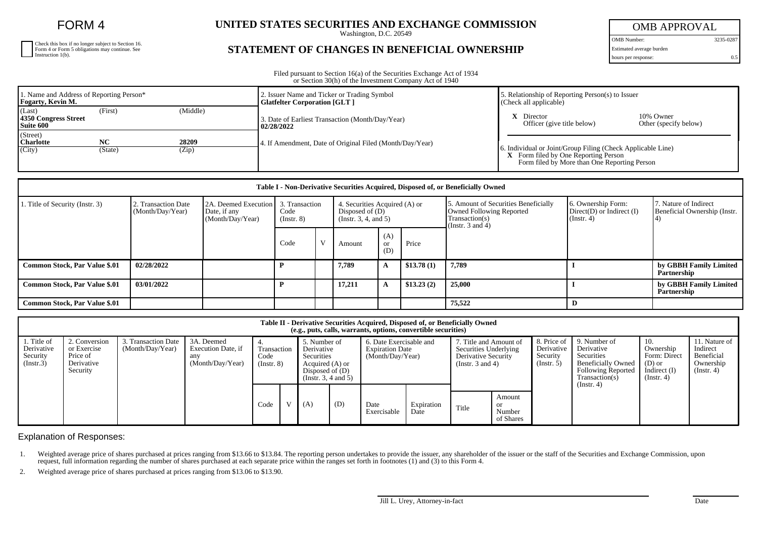FORM 4

| Check this box if no longer subject to Section 16.<br>Form 4 or Form 5 obligations may continue. See Instruction 1(b). |
|------------------------------------------------------------------------------------------------------------------------|
|                                                                                                                        |
|                                                                                                                        |

## **UNITED STATES SECURITIES AND EXCHANGE COMMISSION**

Washington, D.C. 20549

## **STATEMENT OF CHANGES IN BENEFICIAL OWNERSHIP**

OMB APPROVAL OMB Number: 3235-0287

Estimated average burden

hours per response: 0.5

Filed pursuant to Section 16(a) of the Securities Exchange Act of 1934 or Section 30(h) of the Investment Company Act of 1940

| 1. Name and Address of Reporting Person*<br>Fogarty, Kevin M. |           |          | 2. Issuer Name and Ticker or Trading Symbol<br><b>Glatfelter Corporation [GLT ]</b> | . Relationship of Reporting Person(s) to Issuer<br>(Check all applicable)                                                                                  |                                    |  |  |
|---------------------------------------------------------------|-----------|----------|-------------------------------------------------------------------------------------|------------------------------------------------------------------------------------------------------------------------------------------------------------|------------------------------------|--|--|
| (Last)<br>4350 Congress Street<br>Suite 600                   | (First)   | (Middle) | 3. Date of Earliest Transaction (Month/Day/Year)<br>02/28/2022                      | Director<br>Officer (give title below)                                                                                                                     | 10% Owner<br>Other (specify below) |  |  |
| (Street)<br><b>Charlotte</b>                                  | <b>NC</b> | 28209    | 4. If Amendment, Date of Original Filed (Month/Day/Year)                            | 6. Individual or Joint/Group Filing (Check Applicable Line)<br><b>X</b> Form filed by One Reporting Person<br>Form filed by More than One Reporting Person |                                    |  |  |
| (City)                                                        | (State)   | (Zip)    |                                                                                     |                                                                                                                                                            |                                    |  |  |

| Table I - Non-Derivative Securities Acquired, Disposed of, or Beneficially Owned |                                         |                                                          |                                           |  |                                                                                 |                  |            |                                                                                                             |                                                                         |                                                       |  |  |
|----------------------------------------------------------------------------------|-----------------------------------------|----------------------------------------------------------|-------------------------------------------|--|---------------------------------------------------------------------------------|------------------|------------|-------------------------------------------------------------------------------------------------------------|-------------------------------------------------------------------------|-------------------------------------------------------|--|--|
| 1. Title of Security (Instr. 3)                                                  | 2. Transaction Date<br>(Month/Day/Year) | 2A. Deemed Execution<br>Date, if any<br>(Month/Day/Year) | 3. Transaction<br>Code<br>$($ Instr. $8)$ |  | 4. Securities Acquired (A) or<br>Disposed of $(D)$<br>(Instr. $3, 4,$ and $5$ ) |                  |            | 5. Amount of Securities Beneficially<br>Owned Following Reported<br>Transaction(s)<br>(Instr. $3$ and $4$ ) | 6. Ownership Form:<br>$Direct(D)$ or Indirect $(I)$<br>$($ Instr. 4 $)$ | 7. Nature of Indirect<br>Beneficial Ownership (Instr. |  |  |
|                                                                                  |                                         |                                                          | Code                                      |  | Amount                                                                          | (A)<br>or<br>(D) | Price      |                                                                                                             |                                                                         |                                                       |  |  |
| <b>Common Stock, Par Value \$.01</b>                                             | 02/28/2022                              |                                                          |                                           |  | 7,789                                                                           | A                | \$13.78(1) | 7,789                                                                                                       |                                                                         | by GBBH Family Limited<br>Partnership                 |  |  |
| <b>Common Stock, Par Value \$.01</b>                                             | 03/01/2022                              |                                                          |                                           |  | 17,211                                                                          |                  | \$13.23(2) | 25,000                                                                                                      |                                                                         | by GBBH Family Limited<br>Partnership                 |  |  |
| <b>Common Stock, Par Value \$.01</b>                                             |                                         |                                                          |                                           |  |                                                                                 |                  |            | 75.522                                                                                                      | D                                                                       |                                                       |  |  |

|                                                    | Table II - Derivative Securities Acquired, Disposed of, or Beneficially Owned<br>(e.g., puts, calls, warrants, options, convertible securities) |                                         |                                                             |                                        |      |                                                                                                          |     |                                                                       |                     |                                                                                                        |       |                                                      |                                                                                                                      |                                                                                  |                                                                          |
|----------------------------------------------------|-------------------------------------------------------------------------------------------------------------------------------------------------|-----------------------------------------|-------------------------------------------------------------|----------------------------------------|------|----------------------------------------------------------------------------------------------------------|-----|-----------------------------------------------------------------------|---------------------|--------------------------------------------------------------------------------------------------------|-------|------------------------------------------------------|----------------------------------------------------------------------------------------------------------------------|----------------------------------------------------------------------------------|--------------------------------------------------------------------------|
| . Title of<br>Derivative<br>Security<br>(Insert.3) | 2. Conversion<br>or Exercise<br>Price of<br>Derivative<br>Security                                                                              | 3. Transaction Date<br>(Month/Day/Year) | 3A. Deemed<br>Execution Date, if<br>any<br>(Month/Day/Year) | Transaction<br>Code<br>$($ Instr. $8)$ |      | 5. Number of<br>Derivative<br>Securities<br>Acquired (A) or<br>Disposed of $(D)$<br>(Insert. 3, 4 and 5) |     | 6. Date Exercisable and<br><b>Expiration Date</b><br>(Month/Day/Year) |                     | 7. Title and Amount of<br>Securities Underlying<br><b>Derivative Security</b><br>(Instr. $3$ and $4$ ) |       | 8. Price of<br>Derivative<br>Security<br>(Insert. 5) | 9. Number of<br>Derivative<br>Securities<br><b>Beneficially Owned</b><br><b>Following Reported</b><br>Transaction(s) | 10.<br>Ownership<br>Form: Direct<br>(D) or<br>Indirect $(I)$<br>$($ Instr. 4 $)$ | 11. Nature of<br>Indirect<br>Beneficial<br>Ownership<br>$($ Instr. 4 $)$ |
|                                                    |                                                                                                                                                 |                                         |                                                             |                                        | Code |                                                                                                          | (A) | (D)                                                                   | Date<br>Exercisable | Expiration<br>Date                                                                                     | Title | Amount<br><b>or</b><br>Number<br>of Shares           |                                                                                                                      | (Instr. 4)                                                                       |                                                                          |

Explanation of Responses:

1. Weighted average price of shares purchased at prices ranging from \$13.66 to \$13.84. The reporting person undertakes to provide the issuer, any shareholder of the issuer or the staff of the Securities and Exchange Commis request, full information regarding the number of shares purchased at each separate price within the ranges set forth in footnotes (1) and (3) to this Form 4.

2. Weighted average price of shares purchased at prices ranging from \$13.06 to \$13.90.